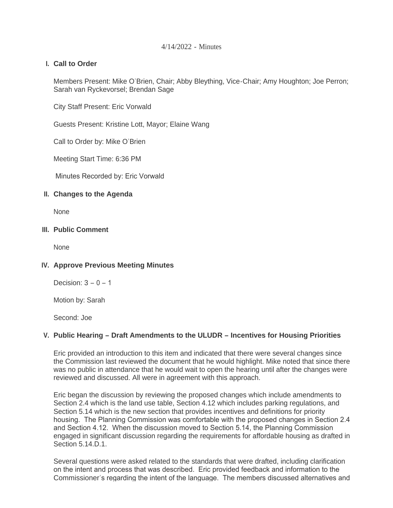### 4/14/2022 - Minutes

# **Call to Order I.**

Members Present: Mike O'Brien, Chair; Abby Bleything, Vice-Chair; Amy Houghton; Joe Perron; Sarah van Ryckevorsel; Brendan Sage

City Staff Present: Eric Vorwald

Guests Present: Kristine Lott, Mayor; Elaine Wang

Call to Order by: Mike O'Brien

Meeting Start Time: 6:36 PM

Minutes Recorded by: Eric Vorwald

### **Changes to the Agenda II.**

**None** 

### **Public Comment III.**

**None** 

# **Approve Previous Meeting Minutes IV.**

Decision:  $3 - 0 - 1$ 

Motion by: Sarah

Second: Joe

# **Public Hearing – Draft Amendments to the ULUDR – Incentives for Housing Priorities V.**

Eric provided an introduction to this item and indicated that there were several changes since the Commission last reviewed the document that he would highlight. Mike noted that since there was no public in attendance that he would wait to open the hearing until after the changes were reviewed and discussed. All were in agreement with this approach.

Eric began the discussion by reviewing the proposed changes which include amendments to Section 2.4 which is the land use table, Section 4.12 which includes parking regulations, and Section 5.14 which is the new section that provides incentives and definitions for priority housing. The Planning Commission was comfortable with the proposed changes in Section 2.4 and Section 4.12. When the discussion moved to Section 5.14, the Planning Commission engaged in significant discussion regarding the requirements for affordable housing as drafted in Section 5.14 D.1.

Several questions were asked related to the standards that were drafted, including clarification on the intent and process that was described. Eric provided feedback and information to the Commissioner's regarding the intent of the language. The members discussed alternatives and